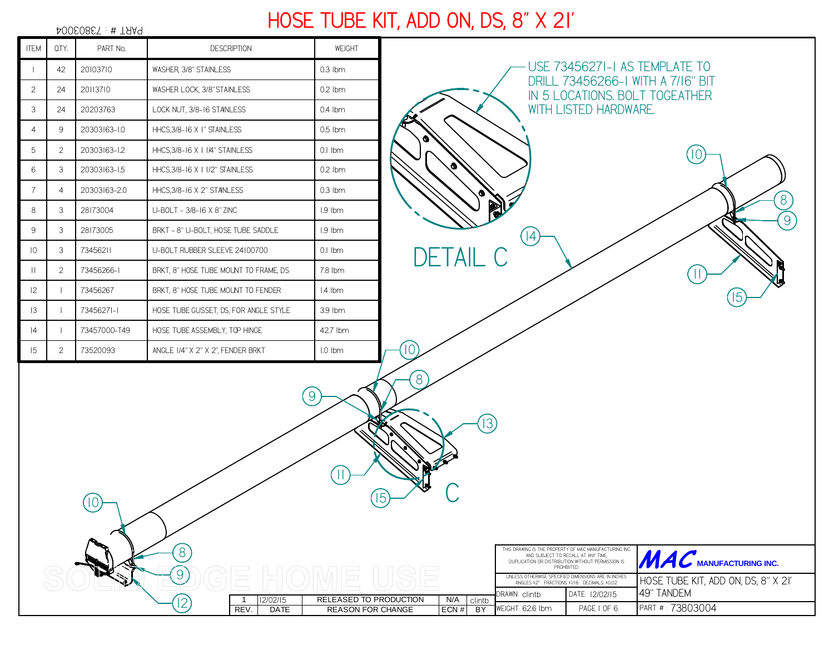|                |                | 40060867:#TAA9           |                                       |                          |                 |      |                       |                                                                     |
|----------------|----------------|--------------------------|---------------------------------------|--------------------------|-----------------|------|-----------------------|---------------------------------------------------------------------|
| <b>ITEM</b>    | QTY.           | PART No.                 | <b>DESCRIPTION</b>                    | WEIGHT                   |                 |      |                       |                                                                     |
| $\perp$        | 42             | 20103710                 | WASHER, 3/8" STAINLESS                | $0.3$ lbm                |                 |      |                       | USE 73456271-1 AS TEMPLATE TO                                       |
| $\overline{2}$ | 24             | 20113710                 | WASHER LOCK, 3/8" STAINLESS           | $0.2$ lbm                |                 |      |                       | DRILL 73456266-I WITH A 7/16" BIT<br>IN 5 LOCATIONS. BOLT TOGEATHER |
| 3              | 24             | 20203763                 | LOCK NUT, 3/8-16 STANLESS             | 0.4 lbm                  |                 |      | WITH LISTED HARDWARE. |                                                                     |
| $\overline{4}$ | 9              | 20303163-1.0             | HHCS, 3/8-16 X I" STAINLESS           | $0.5$ lbm                |                 |      |                       |                                                                     |
| 5              | 2              | 20303163-1.2             | HHCS, 3/8-16 X   1/4" STAINLESS       | $0.1$ Ibm                | Ø.              |      |                       |                                                                     |
| 6              | 3              | 20303163-1.5             | HHCS, 3/8-16 X 1 1/2" STAINLESS       | $0.2$ lbm                | ø               |      |                       |                                                                     |
| $\overline{7}$ | $\overline{4}$ | 20303163-2.0             | HHCS, 3/8-16 X 2" STANLESS            | $0.3$ lbm                |                 |      |                       |                                                                     |
| 8              | 3              | 28173004                 | U-BOLT - 3/8-16 X 8" ZINC             | I.9 lbm                  | R               |      |                       |                                                                     |
| 9              | 3              | 28173005                 | BRKT - 8" U-BOLT, HOSE TUBE SADDLE    | I.9 lbm                  |                 | (14) |                       |                                                                     |
| 10             | 3              | 73456211                 | U-BOLT RUBBER SLEEVE 24100700         | $0.1$ Ibm                | <b>DETAIL C</b> |      |                       |                                                                     |
| $\mathbf{  }$  | 2              | 73456266-1               | BRKT, 8" HOSE TUBE MOUNT TO FRAME, DS | 7.8 lbm                  |                 |      |                       |                                                                     |
| 12             |                | 73456267                 | BRKT, 8" HOSE TUBE MOUNT TO FENDER    | I.4 lbm                  |                 |      |                       | 15                                                                  |
| 3              |                | 73456271-1               | HOSE TUBE GUSSET, DS, FOR ANGLE STYLE | 3.9 lbm                  |                 |      |                       |                                                                     |
| 4              |                | 73457000-T49             | HOSE TUBE ASSEMBLY, TOP HINGE         | 42.7 lbm                 |                 |      |                       |                                                                     |
| 5              | 2              | 73520093                 | ANGLE 1/4" X 2" X 2", FENDER BRKT     | $1.0$ lbm                | 10              |      |                       |                                                                     |
|                |                |                          |                                       |                          | 8               |      |                       |                                                                     |
|                |                | $\overline{\phantom{0}}$ |                                       | $\left[9\right]$<br>(15) | (13)            |      |                       |                                                                     |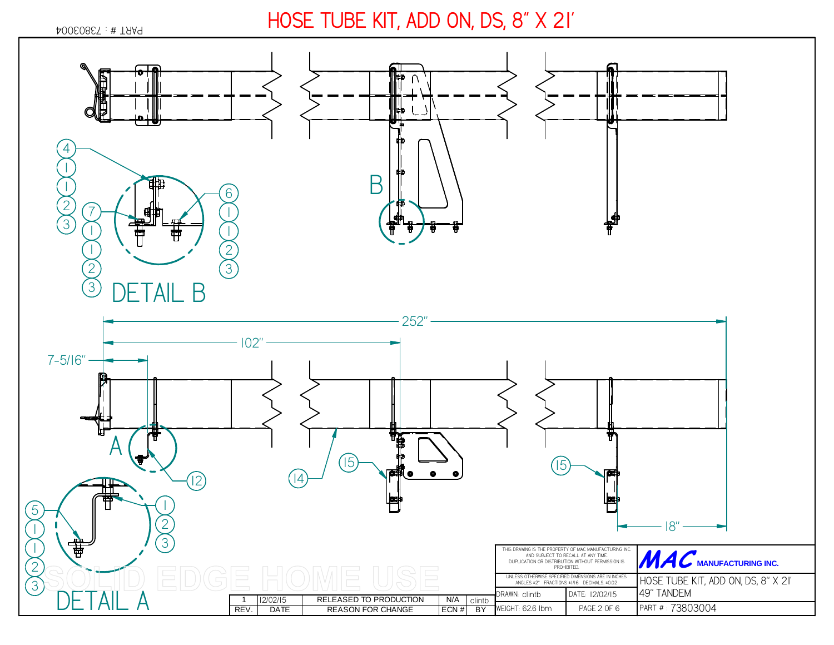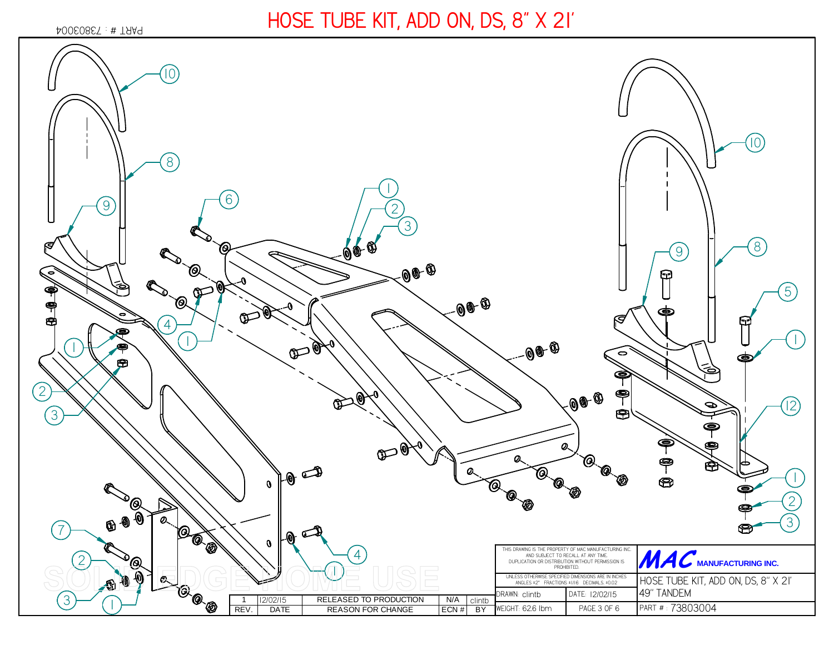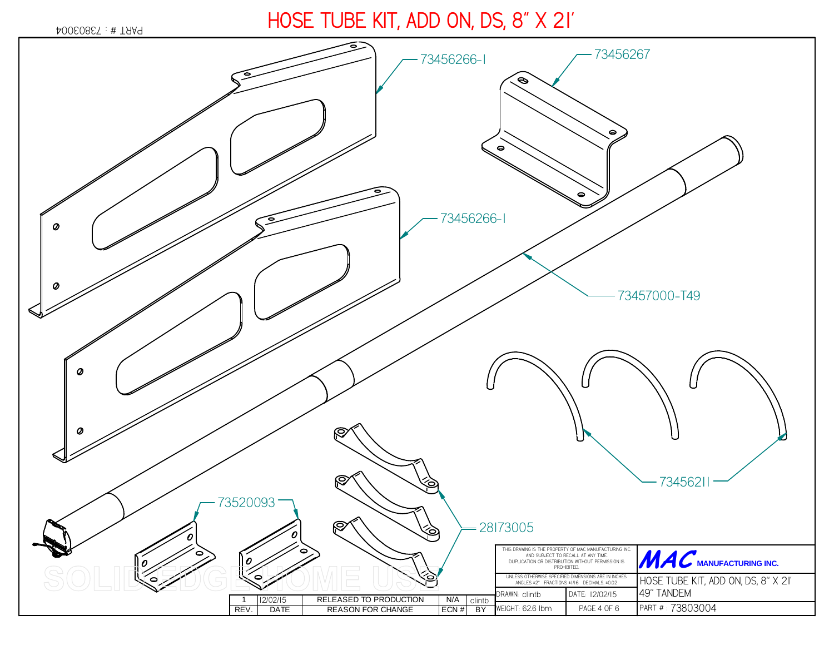*73803004* PART # :

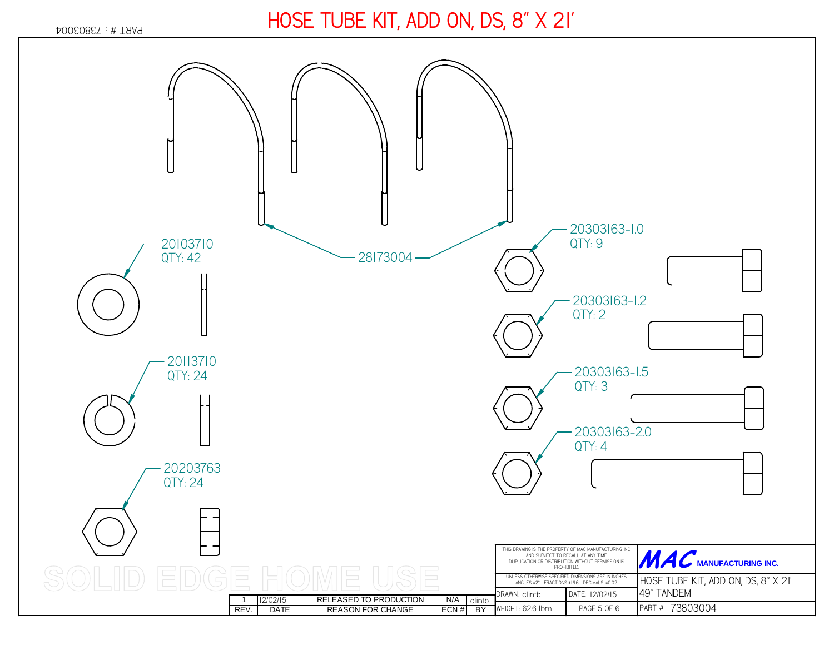